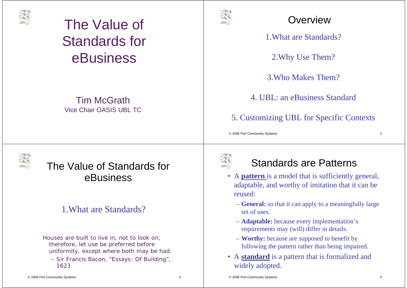

#### Tim McGrathVice Chair OASIS UBL TC



#### **Overview**

1.What are Standards?

2.Why Use Them?

3.Who Makes Them?

4. UBL: an eBusiness Standard

5. Customizing UBL for Specific Contexts

© 2006 Port Community Systems 2



## The Value of Standards for eBusiness

#### 1.What are Standards?

*Houses are built to live in, not to look on; therefore, let use be preferred before uniformity, except where both may be had.* – Sir Francis Bacon, "Essays: Of Building",

1623



#### Standards are Patterns

- A **pattern** is a model that is sufficiently general, adaptable, and worthy of imitation that it can be reused:
	- **General:** so that it can apply to a meaningfully large set of uses.
	- **Adaptable:** because every implementation's requirements may (will) differ in details.
	- **Worthy:** because are supposed to benefit by following the pattern rather than being impaired.
- A **standard** is a pattern that is formalized and widely adopted.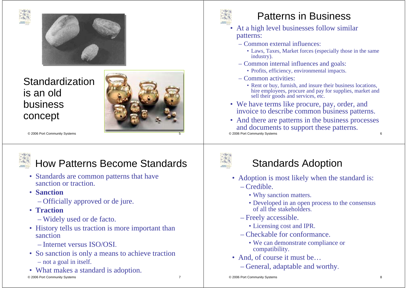



Standardization is an old business concept



© 2006 Port Community Systems 5



## How Patterns Become Standards

- Standards are common patterns that have sanction or traction.
- **Sanction**
	- Officially approved or de jure.
- **Traction**
	- Widely used or de facto.
- History tells us traction is more important than sanction
	- Internet versus ISO/OSI.
- So sanction is only a means to achieve traction – not a goal in itself.
- © 2006 Port Community Systems 7 • What makes a standard is adoption.

•

## Patterns in Business

- At a high level businesses follow similar patterns:
	- Common external influences:
		- Laws, Taxes, Market forces (especially those in the same industry).
	- Common internal influences and goals:
		- Profits, efficiency, environmental impacts.
	- Common activities:
		- Rent or buy, furnish, and insure their business locations, hire employees, procure and pay for supplies, market and sell their goods and services, etc.
- We have terms like procure, pay, order, and invoice to describe common business patterns.
- © 2006 Port Community Systems 6 • And there are patterns in the business processes and documents to support these patterns.



#### Standards Adoption

- Adoption is most likely when the standard is: – Credible.
	- Why sanction matters.
	- Developed in an open process to the consensus of all the stakeholders.
	- Freely accessible.
		- Licensing cost and IPR.
	- Checkable for conformance.
		- We can demonstrate compliance or compatibility.
- And, of course it must be...
	- General, adaptable and worthy.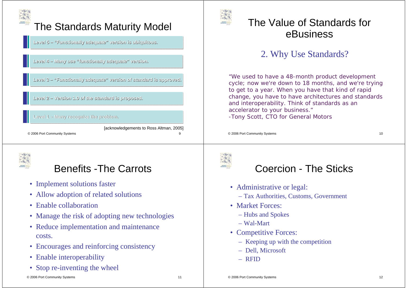

## The Standards Maturity Model

**Level 5 Level 5 Level 5 – "Functionally adequate" version is ubiquitous. – "Functionally adequate" version is ubiquitous.**

**Level 4 Level 4 Level 4 – Many use "functi – Many use Many use "functionally adequate onally adequate" version. " version.**

Level 3 - "Functionally adequate" version of standard is approved.

**Level 2 Level 2 Level 2 – Version 1.0 of the standard is proposed. – Version 1.0 of the standard is proposed. Version of standard** 

**Level 1 Level Level 1 – Many recognize the problem. – Many recognize the problem. Many the problem.**

© 2006 Port Community Systems 9 [acknowledgements to Ross Altman, 2005]



## Benefits -The Carrots

- Implement solutions faster
- Allow adoption of related solutions
- Enable collaboration
- Manage the risk of adopting new technologies
- Reduce implementation and maintenance costs.
- Encourages and reinforcing consistency
- Enable interoperability
- Stop re-inventing the wheel



#### The Value of Standards for eBusiness

#### 2. Why Use Standards?

*"We used to have a 48-month product development cycle; now we're down to 18 months, and we're trying to get to a year. When you have that kind of rapid change, you have to have architectures and standards and interoperability. Think of standards as an accelerator to your business."* -Tony Scott, CTO for General Motors

© 2006 Port Community Systems 10



#### Coercion - The Sticks

- Administrative or legal:
	- Tax Authorities, Customs, Government
- Market Forces:
	- Hubs and Spokes
	- Wal-Mart
- Competitive Forces:
	- Keeping up with the competition
	- Dell, Microsoft
	- RFID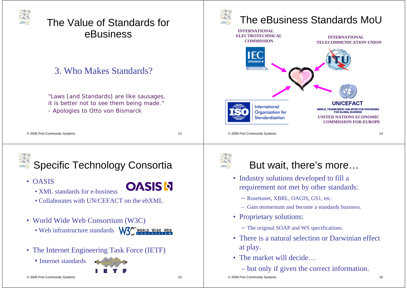

#### 3. Who Makes Standards?

*"Laws [and Standards] are like sausages, it is better not to see them being made." - Apologies to Otto von Bismarck*

| © 2006 Port Community Systems |  |
|-------------------------------|--|
|-------------------------------|--|

**OASIS N** 



Specific Technology Consortia



- XML standards for e-business
- Collaborates with UN/CEFACT on the ebXML
- World Wide Web Consortium (W3C)

• Web infrastructure standards

• The Internet Engineering Task Force (IETF)

• Internet standards







## The eBusiness Standards MoU





#### But wait, there's more…

- Industry solutions developed to fill a requirement not met by other standards:
	- Rosettanet, XBRL, OAGIS, GS1, etc.
	- Gain momentum and become a standards business.
- Proprietary solutions:
	- The original SOAP and WS specifications.
- There is a natural selection or Darwinian effect at play.
- The market will decide...
	- but only if given the correct information.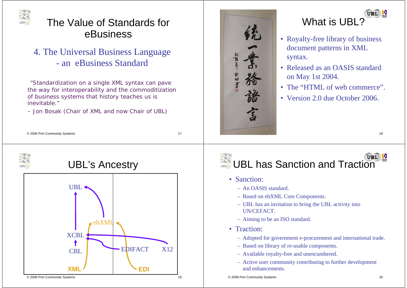

4. The Universal Business Language - an eBusiness Standard

*"Standardization on a single XML syntax can pave the way for interoperability and the commoditization of business systems that history teaches us is inevitable."*

– Jon Bosak (Chair of XML and now Chair of UBL)



#### UIBIE What is UBL?

- Royalty-free library of business document patterns in XML syntax.
- Released as an OASIS standard on May 1st 2004.
- The "HTML of web commerce".
- Version 2.0 due October 2006.

© 2006 Port Community Systems 17







#### UBL S UBL has Sanction and Traction

- Sanction:
	- An OASIS standard.
	- Based on ebXML Core Components.
	- UBL has an invitation to bring the UBL activity into UN/CEFACT.
	- Aiming to be an ISO standard.
- Traction:
	- Adopted for government e-procurement and international trade.
	- Based on library of re-usable components.
	- Available royalty-free and unencumbered.
	- Active user community contributing to further development and enhancements.

© 2006 Port Community Systems 20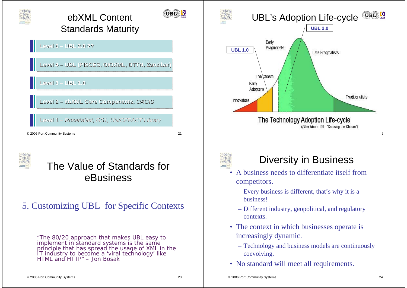



#### 5. Customizing UBL for Specific Contexts

*"The 80/20 approach that makes UBL easy to implement in standard systems is the same principle that has spread the usage of XML in the IT industry to become a 'viral technology' like HTML and HTTP" –* Jon Bosak



#### Diversity in Business

- A business needs to differentiate itself from competitors.
	- Every business is different, that's why it is a business!
	- Different industry, geopolitical, and regulatory contexts.
- The context in which businesses operate is increasingly dynamic.
	- Technology and business models are continuously coevolving.
- No standard will meet all requirements.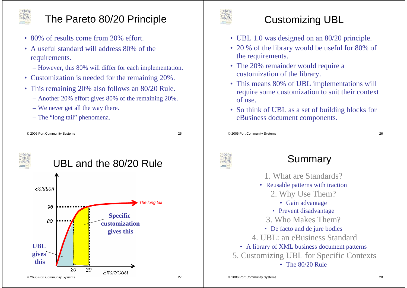

# The Pareto 80/20 Principle

- 80% of results come from 20% effort.
- A useful standard will address 80% of the requirements.
	- However, this 80% will differ for each implementation.
- Customization is needed for the remaining 20%.
- This remaining 20% also follows an 80/20 Rule.
	- Another 20% effort gives 80% of the remaining 20%.
	- We never get all the way there.
	- The "long tail" phenomena.



### Customizing UBL

- UBL 1.0 was designed on an 80/20 principle.
- 20 % of the library would be useful for 80% of the requirements.
- The 20% remainder would require a customization of the library.
- This means 80% of UBL implementations will require some customization to suit their context of use.
- So think of UBL as a set of building blocks for eBusiness document components.